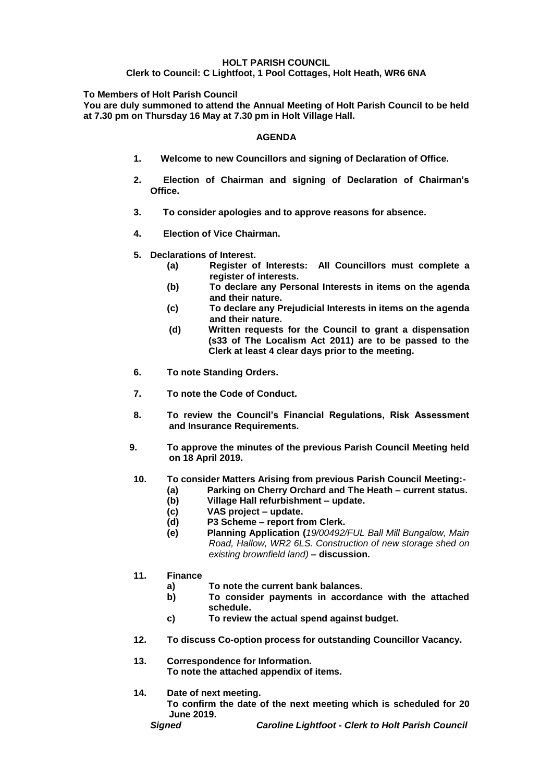### **HOLT PARISH COUNCIL**

#### **Clerk to Council: C Lightfoot, 1 Pool Cottages, Holt Heath, WR6 6NA**

**To Members of Holt Parish Council**

**You are duly summoned to attend the Annual Meeting of Holt Parish Council to be held at 7.30 pm on Thursday 16 May at 7.30 pm in Holt Village Hall.**

#### **AGENDA**

- **1. Welcome to new Councillors and signing of Declaration of Office.**
- **2. Election of Chairman and signing of Declaration of Chairman's Office.**
- **3. To consider apologies and to approve reasons for absence.**
- **4. Election of Vice Chairman.**
- **5. Declarations of Interest.**
	- **(a) Register of Interests: All Councillors must complete a register of interests.**
	- **(b) To declare any Personal Interests in items on the agenda and their nature.**
	- **(c) To declare any Prejudicial Interests in items on the agenda and their nature.**
	- **(d) Written requests for the Council to grant a dispensation (s33 of The Localism Act 2011) are to be passed to the Clerk at least 4 clear days prior to the meeting.**
- **6. To note Standing Orders.**
- **7. To note the Code of Conduct.**
- **8. To review the Council's Financial Regulations, Risk Assessment and Insurance Requirements.**
- **9. To approve the minutes of the previous Parish Council Meeting held on 18 April 2019.**
- **10. To consider Matters Arising from previous Parish Council Meeting:-**
	- **(a) Parking on Cherry Orchard and The Heath – current status.**
	- **(b) Village Hall refurbishment – update.**
	- **(c) VAS project – update.**
	- **(d) P3 Scheme – report from Clerk.**
	- **(e) Planning Application (***19/00492/FUL Ball Mill Bungalow, Main Road, Hallow, WR2 6LS. Construction of new storage shed on existing brownfield land)* **– discussion.**
- **11. Finance**
	- **a) To note the current bank balances.**
	- **b) To consider payments in accordance with the attached schedule.**
	- **c) To review the actual spend against budget.**
- **12. To discuss Co-option process for outstanding Councillor Vacancy.**
- **13. Correspondence for Information. To note the attached appendix of items.**
- **14. Date of next meeting.**

**To confirm the date of the next meeting which is scheduled for 20 June 2019.**

*Signed Caroline Lightfoot - Clerk to Holt Parish Council*